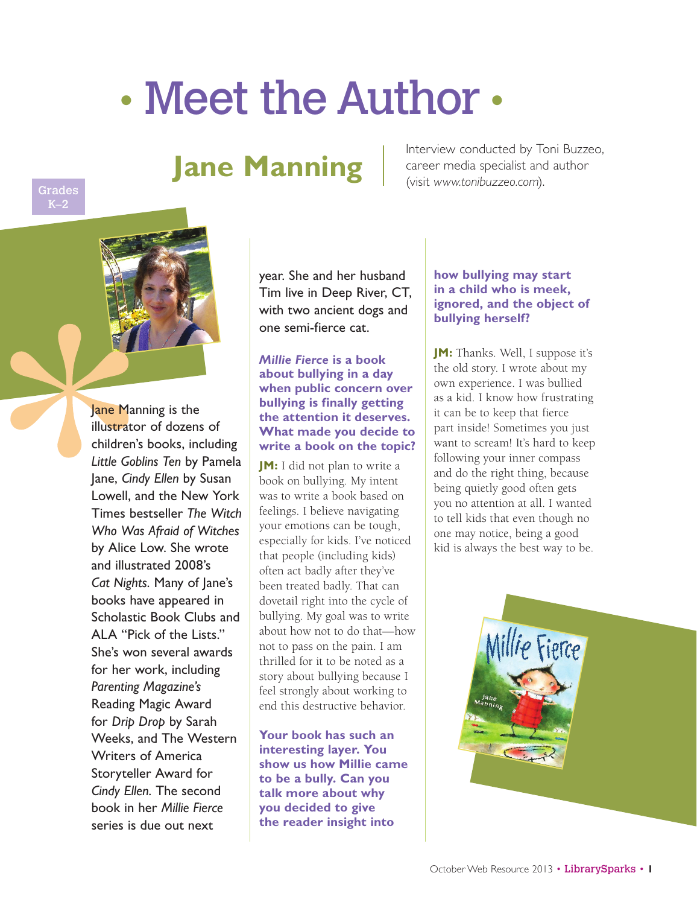# • Meet the Author •

# **Jane Manning**

Interview conducted by Toni Buzzeo, career media specialist and author (visit *www.tonibuzzeo.com*).



Grades

Jane Manning is the illustrator of dozens of children's books, including *Little Goblins Ten* by Pamela Jane, *Cindy Ellen* by Susan Lowell, and the New York Times bestseller *The Witch Who Was Afraid of Witches* by Alice Low. She wrote and illustrated 2008's *Cat Nights*. Many of Jane's books have appeared in Scholastic Book Clubs and ALA "Pick of the Lists." She's won several awards for her work, including *Parenting Magazine's* Reading Magic Award for *Drip Drop* by Sarah Weeks, and The Western Writers of America Storyteller Award for *Cindy Ellen*. The second book in her *Millie Fierce* series is due out next

year. She and her husband Tim live in Deep River, CT, with two ancient dogs and one semi-fierce cat.

# *Millie Fierce* **is a book about bullying in a day when public concern over bullying is finally getting the attention it deserves. What made you decide to write a book on the topic?**

**JM:** I did not plan to write a book on bullying. My intent was to write a book based on feelings. I believe navigating your emotions can be tough, especially for kids. I've noticed that people (including kids) often act badly after they've been treated badly. That can dovetail right into the cycle of bullying. My goal was to write about how not to do that—how not to pass on the pain. I am thrilled for it to be noted as a story about bullying because I feel strongly about working to end this destructive behavior.

**Your book has such an interesting layer. You show us how Millie came to be a bully. Can you talk more about why you decided to give the reader insight into** 

## **how bullying may start in a child who is meek, ignored, and the object of bullying herself?**

**JM:** Thanks. Well, I suppose it's the old story. I wrote about my own experience. I was bullied as a kid. I know how frustrating it can be to keep that fierce part inside! Sometimes you just want to scream! It's hard to keep following your inner compass and do the right thing, because being quietly good often gets you no attention at all. I wanted to tell kids that even though no one may notice, being a good kid is always the best way to be.